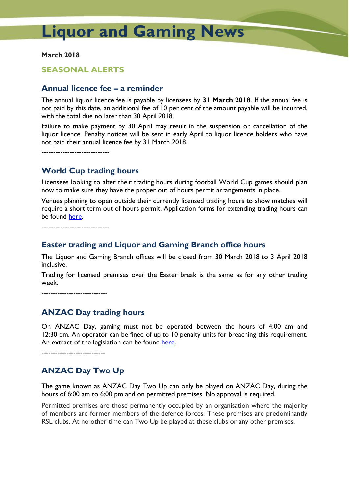# **Liquor and Gaming News**

**March 2018**

#### **SEASONAL ALERTS**

## **Annual licence fee – a reminder**

The annual liquor licence fee is payable by licensees by **31 March 2018**. If the annual fee is not paid by this date, an additional fee of 10 per cent of the amount payable will be incurred, with the total due no later than 30 April 2018.

Failure to make payment by 30 April may result in the suspension or cancellation of the liquor licence. Penalty notices will be sent in early April to liquor licence holders who have not paid their annual licence fee by 31 March 2018.

-----------------------------

## **World Cup trading hours**

Licensees looking to alter their trading hours during football World Cup games should plan now to make sure they have the proper out of hours permit arrangements in place.

Venues planning to open outside their currently licensed trading hours to show matches will require a short term out of hours permit. Application forms for extending trading hours can be found [here.](http://www.treasury.tas.gov.au/liquor-and-gaming/liquor/apply-for-a-liquor-licence-transfer-and-permit/apply-for-an-out-of-hours-permit)

-----------------------------

#### **Easter trading and Liquor and Gaming Branch office hours**

The Liquor and Gaming Branch offices will be closed from 30 March 2018 to 3 April 2018 inclusive.

Trading for licensed premises over the Easter break is the same as for any other trading week.

-----------------------------

# **ANZAC Day trading hours**

On ANZAC Day, gaming must not be operated between the hours of 4:00 am and 12:30 pm. An operator can be fined of up to 10 penalty units for breaching this requirement. An extract of the legislation can be found [here.](http://www.austlii.edu.au/au/legis/tas/consol_act/adoa1929182/s4a.html)

----------------------------

# **ANZAC Day Two Up**

The game known as ANZAC Day Two Up can only be played on ANZAC Day, during the hours of 6:00 am to 6:00 pm and on permitted premises. No approval is required.

Permitted premises are those permanently occupied by an organisation where the majority of members are former members of the defence forces. These premises are predominantly RSL clubs. At no other time can Two Up be played at these clubs or any other premises.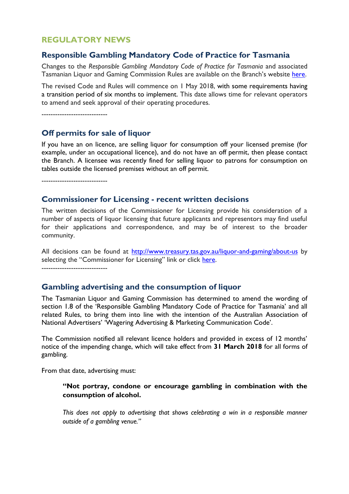## **REGULATORY NEWS**

#### **Responsible Gambling Mandatory Code of Practice for Tasmania**

Changes to the *Responsible Gambling Mandatory Code of Practice for Tasmania* and associated Tasmanian Liquor and Gaming Commission Rules are available on the Branch's website [here.](http://www.treasury.tas.gov.au/liquor-and-gaming/gambling/reduce-harm-from-gambling/mandatory-code-of-practice)

The revised Code and Rules will commence on 1 May 2018, with some requirements having a transition period of six months to implement. This date allows time for relevant operators to amend and seek approval of their operating procedures.

-----------------------------

#### **Off permits for sale of liquor**

If you have an on licence, are selling liquor for consumption off your licensed premise (for example, under an occupational licence), and do not have an off permit, then please contact the Branch. A licensee was recently fined for selling liquor to patrons for consumption on tables outside the licensed premises without an off permit.

-----------------------------

#### **Commissioner for Licensing - recent written decisions**

The written decisions of the Commissioner for Licensing provide his consideration of a number of aspects of liquor licensing that future applicants and representors may find useful for their applications and correspondence, and may be of interest to the broader community.

All decisions can be found at<http://www.treasury.tas.gov.au/liquor-and-gaming/about-us> by selecting the "Commissioner for Licensing" link or click [here.](http://www.treasury.tas.gov.au/liquor-and-gaming/about-us/commissioner-for-licensing/liquor-licence-decisions) -----------------------------

#### **Gambling advertising and the consumption of liquor**

The Tasmanian Liquor and Gaming Commission has determined to amend the wording of section 1.8 of the 'Responsible Gambling Mandatory Code of Practice for Tasmania' and all related Rules, to bring them into line with the intention of the Australian Association of National Advertisers' 'Wagering Advertising & Marketing Communication Code'.

The Commission notified all relevant licence holders and provided in excess of 12 months' notice of the impending change, which will take effect from **31 March 2018** for all forms of gambling.

From that date, advertising must:

#### **"Not portray, condone or encourage gambling in combination with the consumption of alcohol.**

*This does not apply to advertising that shows celebrating a win in a responsible manner outside of a gambling venue."*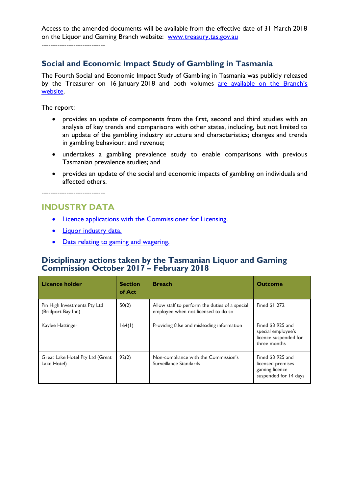Access to the amended documents will be available from the effective date of 31 March 2018 on the Liquor and Gaming Branch website: www.treasury.[tas.gov.au](http://www.treasury.tas.gov.au/)

----------------------------

# **Social and Economic Impact Study of Gambling in Tasmania**

The Fourth Social and Economic Impact Study of Gambling in Tasmania was publicly released by the Treasurer on 16 January 2018 and both volumes are available on the Branch's [website.](http://www.treasury.tas.gov.au/liquor-and-gaming/gambling/reduce-harm-from-gambling/social-and-economic-impact-studies)

The report:

- provides an update of components from the first, second and third studies with an analysis of key trends and comparisons with other states, including, but not limited to an update of the gambling industry structure and characteristics; changes and trends in gambling behaviour; and revenue;
- undertakes a gambling prevalence study to enable comparisons with previous Tasmanian prevalence studies; and
- provides an update of the social and economic impacts of gambling on individuals and affected others.

----------------------------

# **INDUSTRY DATA**

- [Licence applications with the Commissioner for Licensing.](http://www.treasury.tas.gov.au/liquor-and-gaming/about-us/commissioner-for-licensing/applications-with-commissioner)
- [Liquor industry data.](http://www.treasury.tas.gov.au/liquor-and-gaming/legislation-and-data/liquor-industry-data)
- [Data relating to gaming and wagering.](http://www.treasury.tas.gov.au/liquor-and-gaming/legislation-and-data/gambling-industry-data)

# **Disciplinary actions taken by the Tasmanian Liquor and Gaming Commission October 2017 – February 2018**

| <b>Licence holder</b>                              | <b>Section</b><br>of Act | <b>Breach</b>                                                                         | <b>Outcome</b>                                                                    |
|----------------------------------------------------|--------------------------|---------------------------------------------------------------------------------------|-----------------------------------------------------------------------------------|
| Pin High Investments Pty Ltd<br>(Bridport Bay Inn) | 50(2)                    | Allow staff to perform the duties of a special<br>employee when not licensed to do so | Fined \$1 272                                                                     |
| Kaylee Hattinger                                   | 164(1)                   | Providing false and misleading information                                            | Fined \$3 925 and<br>special employee's<br>licence suspended for<br>three months  |
| Great Lake Hotel Pty Ltd (Great<br>Lake Hotel)     | 92(2)                    | Non-compliance with the Commission's<br>Surveillance Standards                        | Fined \$3 925 and<br>licensed premises<br>gaming licence<br>suspended for 14 days |